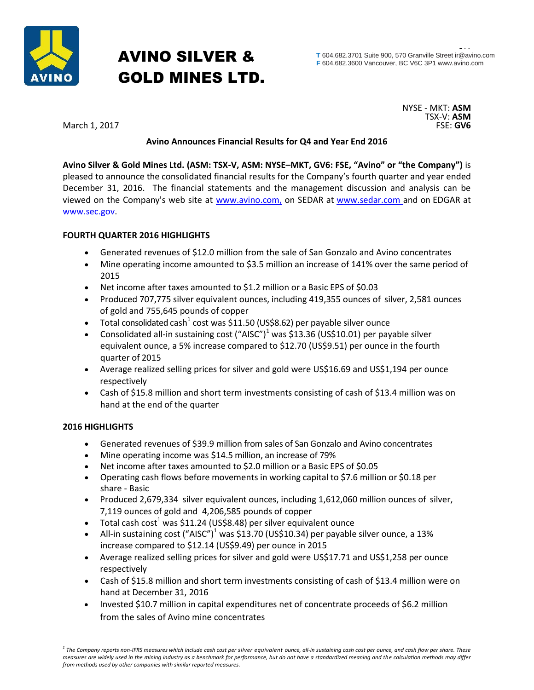

# AVINO SILVER & GOLD MINES LTD.

March 1, 2017

NYSE - MKT: **ASM** TSX-V: **ASM**

# **Avino Announces Financial Results for Q4 and Year End 2016**

**Avino Silver & Gold Mines Ltd. (ASM: TSX-V, ASM: NYSE–MKT, GV6: FSE, "Avino" or "the Company")** is pleased to announce the consolidated financial results for the Company's fourth quarter and year ended December 31, 2016. The financial statements and the management discussion and analysis can be viewed on the Company's web site at [www.avino.com,](http://www.avino.com,/) on SEDAR at [www.sedar.com](http://www.sedar.com/) and on EDGAR at [www.sec.gov.](http://www.sec.gov/)

## **FOURTH QUARTER 2016 HIGHLIGHTS**

- Generated revenues of \$12.0 million from the sale of San Gonzalo and Avino concentrates
- Mine operating income amounted to \$3.5 million an increase of 141% over the same period of 2015
- Net income after taxes amounted to \$1.2 million or a Basic EPS of \$0.03
- Produced 707,775 silver equivalent ounces, including 419,355 ounces of silver, 2,581 ounces of gold and 755,645 pounds of copper
- Total consolidated cash<sup>1</sup> cost was \$11.50 (US\$8.62) per payable silver ounce
- Consolidated all-in sustaining cost  $("AISC")<sup>1</sup>$  was \$13.36 (US\$10.01) per payable silver equivalent ounce, a 5% increase compared to \$12.70 (US\$9.51) per ounce in the fourth quarter of 2015
- Average realized selling prices for silver and gold were US\$16.69 and US\$1,194 per ounce respectively
- Cash of \$15.8 million and short term investments consisting of cash of \$13.4 million was on hand at the end of the quarter

## **2016 HIGHLIGHTS**

- Generated revenues of \$39.9 million from sales of San Gonzalo and Avino concentrates
- Mine operating income was \$14.5 million, an increase of 79%
- Net income after taxes amounted to \$2.0 million or a Basic EPS of \$0.05
- Operating cash flows before movements in working capital to \$7.6 million or \$0.18 per share - Basic
- Produced 2,679,334 silver equivalent ounces, including 1,612,060 million ounces of silver, 7,119 ounces of gold and 4,206,585 pounds of copper
- Total cash cost<sup>1</sup> was \$11.24 (US\$8.48) per silver equivalent ounce
- All-in sustaining cost ("AISC")<sup>1</sup> was \$13.70 (US\$10.34) per payable silver ounce, a 13% increase compared to \$12.14 (US\$9.49) per ounce in 2015
- Average realized selling prices for silver and gold were US\$17.71 and US\$1,258 per ounce respectively
- Cash of \$15.8 million and short term investments consisting of cash of \$13.4 million were on hand at December 31, 2016
- Invested \$10.7 million in capital expenditures net of concentrate proceeds of \$6.2 million from the sales of Avino mine concentrates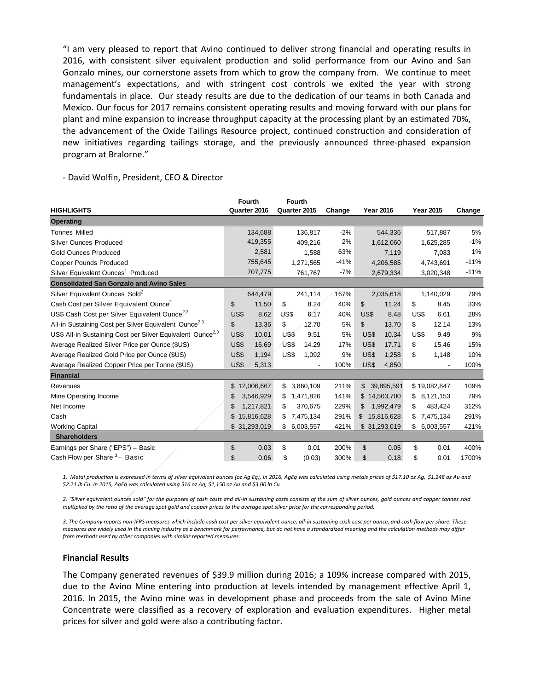"I am very pleased to report that Avino continued to deliver strong financial and operating results in 2016, with consistent silver equivalent production and solid performance from our Avino and San Gonzalo mines, our cornerstone assets from which to grow the company from. We continue to meet management's expectations, and with stringent cost controls we exited the year with strong fundamentals in place. Our steady results are due to the dedication of our teams in both Canada and Mexico. Our focus for 2017 remains consistent operating results and moving forward with our plans for plant and mine expansion to increase throughput capacity at the processing plant by an estimated 70%, the advancement of the Oxide Tailings Resource project, continued construction and consideration of new initiatives regarding tailings storage, and the previously announced three-phased expansion program at Bralorne."

**HIGHLIGHTS Fourth Quarter 2016 Fourth Quarter 2015 Change Year 2016 Year 2015 Change Operating** Tonnes Milled 134,688 136,817 -2% 544,336 517,887 5% Silver Ounces Produced 419,355 409,216 2% 1,612,060 1,625,285 -1% Gold Ounces Produced and 2,581 1,588 63% 7,119 7,083 1% Copper Pounds Produced 755,645 1,271,565 -41% 4,206,585 4,743,691 -11% Silver Equivalent Ounces<sup>1</sup> Produced 707,775 761,767 -7% 2,679,334 3,020,348 -11% **Consolidated San Gonzalo and Avino Sales** Silver Equivalent Ounces Sold<sup>2</sup> 644,479 241,114 167% 2,035,618 1,140,029 79% Cash Cost per Silver Equivalent Ounce<sup>2</sup> \$ 11.50 \$ 8.24 40% \$ 11.24 \$ 8.45 33% US\$ Cash Cost per Silver Equivalent Ounce<sup>2,3</sup> US\$ 8.62 US\$ 6.17 40% US\$ 8.48 US\$ 6.61 28% All-in Sustaining Cost per Silver Equivalent Ounce<sup>2,3</sup> \$ 13.36 \$ 12.70 5% \$ 13.70 \$ 12.14 13% US\$ All-in Sustaining Cost per Silver Equivalent Ounce<sup>2,3</sup> US\$ 10.01 US\$ 9.51 5% US\$ 10.34 US\$ 9.49 9% Average Realized Silver Price per Ounce (\$US) US\$ 16.69 US\$ 14.29 17% US\$ 17.71 \$ 15.46 15% Average Realized Gold Price per Ounce (\$US) US\$ 1,194 US\$ 1,092 9% US\$ 1,258 \$ 1,148 10% Average Realized Copper Price per Tonne (\$US) US\$ 5,313 - 100% US\$ 4,850 - 100% **Financial** Revenues \$ 12,006,667 \$ 3,860,109 211% \$ 39,895,591 \$ 19,082,847 109% Mine Operating Income **120 a. 2010 \$ 3,546,929** \$ 1,471,826 141% \$ 14,503,700 \$ 8,121,153 79% Net Income \$ 1,217,821 \$ 370,675 229% \$ 1,992,479 \$ 483,424 312% Cash \$ 15,816,628 \$ 7,475,134 291% \$ 15,816,628 \$ 7,475,134 291% Working Capital \$ 31,293,019 \$ 6,003,557 421% \$ 31,293,019 \$ 6,003,557 421% **Shareholders** Earnings per Share ("EPS") – Basic \$ 0.03 \$ 0.01 200% \$ 0.05 \$ 0.01 400% Cash Flow per Share  $3-$  Basic – Basic \$ 0.06 \$ (0.03) 300% \$ 0.18 \$ 0.01 1700%

- David Wolfin, President, CEO & Director

*1. Metal production is expressed in terms of silver equivalent ounces (oz Ag Eq), In 2016, AgEq was calculated using metals prices of \$17.10 oz Ag, \$1,248 oz Au and \$2.21 lb Cu. In 2015, AgEq was calculated using \$16 oz Ag, \$1,150 oz Au and \$3.00 lb Cu*

*2. "Silver equivalent ounces sold" for the purposes of cash costs and all-in sustaining costs consists of the sum of silver ounces, gold ounces and copper tonnes sold multiplied by the ratio of the average spot gold and copper prices to the average spot silver price for the corresponding period.*

*3. The Company reports non-IFRS measures which include cash cost per silver equivalent ounce, all-in sustaining cash cost per ounce, and cash flow per share. These measures are widely used in the mining industry as a benchmark for performance, but do not have a standardized meaning and the calculation methods may differ from methods used by other companies with similar reported measures.*

#### **Financial Results**

The Company generated revenues of \$39.9 million during 2016; a 109% increase compared with 2015, due to the Avino Mine entering into production at levels intended by management effective April 1, 2016. In 2015, the Avino mine was in development phase and proceeds from the sale of Avino Mine Concentrate were classified as a recovery of exploration and evaluation expenditures. Higher metal prices for silver and gold were also a contributing factor.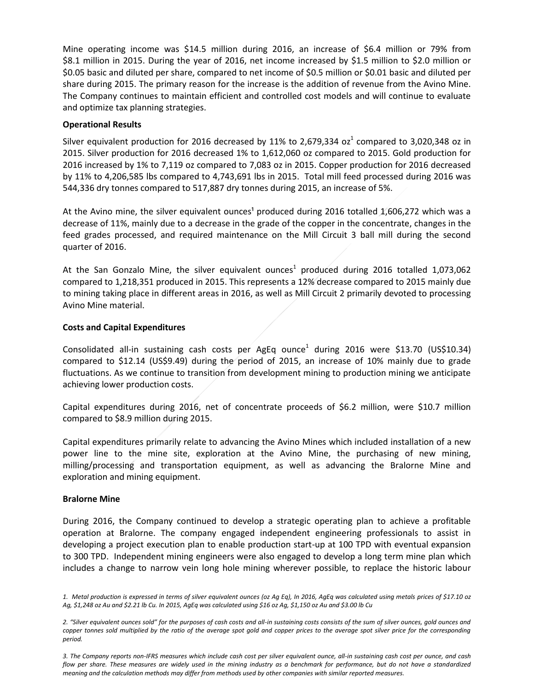Mine operating income was \$14.5 million during 2016, an increase of \$6.4 million or 79% from \$8.1 million in 2015. During the year of 2016, net income increased by \$1.5 million to \$2.0 million or \$0.05 basic and diluted per share, compared to net income of \$0.5 million or \$0.01 basic and diluted per share during 2015. The primary reason for the increase is the addition of revenue from the Avino Mine. The Company continues to maintain efficient and controlled cost models and will continue to evaluate and optimize tax planning strategies.

### **Operational Results**

Silver equivalent production for 2016 decreased by 11% to 2,679,334 oz $^1$  compared to 3,020,348 oz in 2015. Silver production for 2016 decreased 1% to 1,612,060 oz compared to 2015. Gold production for 2016 increased by 1% to 7,119 oz compared to 7,083 oz in 2015. Copper production for 2016 decreased by 11% to 4,206,585 lbs compared to 4,743,691 lbs in 2015. Total mill feed processed during 2016 was 544,336 dry tonnes compared to 517,887 dry tonnes during 2015, an increase of 5%.

At the Avino mine, the silver equivalent ounces<sup>1</sup> produced during 2016 totalled 1,606,272 which was a decrease of 11%, mainly due to a decrease in the grade of the copper in the concentrate, changes in the feed grades processed, and required maintenance on the Mill Circuit 3 ball mill during the second quarter of 2016.

At the San Gonzalo Mine, the silver equivalent ounces<sup>1</sup> produced during 2016 totalled 1,073,062 compared to 1,218,351 produced in 2015. This represents a 12% decrease compared to 2015 mainly due to mining taking place in different areas in 2016, as well as Mill Circuit 2 primarily devoted to processing Avino Mine material.

#### **Costs and Capital Expenditures**

Consolidated all-in sustaining cash costs per AgEq ounce<sup>1</sup> during 2016 were \$13.70 (US\$10.34) compared to \$12.14 (US\$9.49) during the period of 2015, an increase of 10% mainly due to grade fluctuations. As we continue to transition from development mining to production mining we anticipate achieving lower production costs.

Capital expenditures during 2016, net of concentrate proceeds of \$6.2 million, were \$10.7 million compared to \$8.9 million during 2015.

Capital expenditures primarily relate to advancing the Avino Mines which included installation of a new power line to the mine site, exploration at the Avino Mine, the purchasing of new mining, milling/processing and transportation equipment, as well as advancing the Bralorne Mine and exploration and mining equipment.

#### **Bralorne Mine**

During 2016, the Company continued to develop a strategic operating plan to achieve a profitable operation at Bralorne. The company engaged independent engineering professionals to assist in developing a project execution plan to enable production start-up at 100 TPD with eventual expansion to 300 TPD. Independent mining engineers were also engaged to develop a long term mine plan which includes a change to narrow vein long hole mining wherever possible, to replace the historic labour

*<sup>1.</sup> Metal production is expressed in terms of silver equivalent ounces (oz Ag Eq), In 2016, AgEq was calculated using metals prices of \$17.10 oz Ag, \$1,248 oz Au and \$2.21 lb Cu. In 2015, AgEq was calculated using \$16 oz Ag, \$1,150 oz Au and \$3.00 lb Cu*

<sup>2. &</sup>quot;Silver equivalent ounces sold" for the purposes of cash costs and all-in sustaining costs consists of the sum of silver ounces, gold ounces and *copper tonnes sold multiplied by the ratio of the average spot gold and copper prices to the average spot silver price for the corresponding period.*

*<sup>3.</sup> The Company reports non-IFRS measures which include cash cost per silver equivalent ounce, all-in sustaining cash cost per ounce, and cash flow per share. These measures are widely used in the mining industry as a benchmark for performance, but do not have a standardized meaning and the calculation methods may differ from methods used by other companies with similar reported measures.*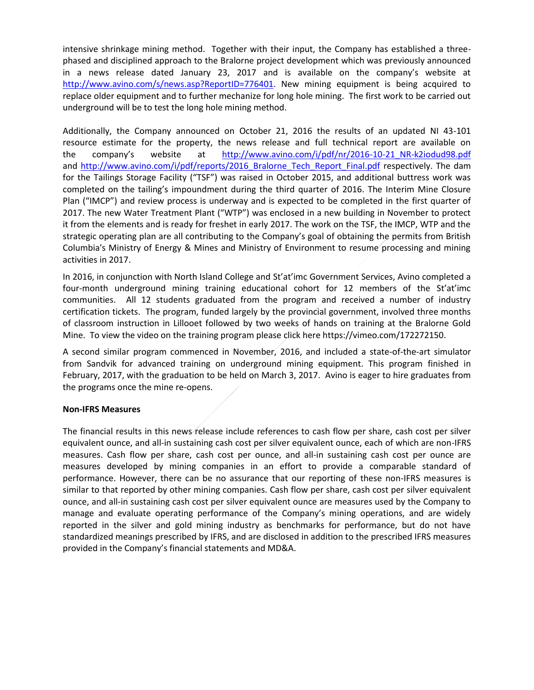intensive shrinkage mining method. Together with their input, the Company has established a threephased and disciplined approach to the Bralorne project development which was previously announced in a news release dated January 23, 2017 and is available on the company's website at [http://www.avino.com/s/news.asp?ReportID=776401.](http://www.avino.com/s/news.asp?ReportID=776401) New mining equipment is being acquired to replace older equipment and to further mechanize for long hole mining. The first work to be carried out underground will be to test the long hole mining method.

Additionally, the Company announced on October 21, 2016 the results of an updated NI 43-101 resource estimate for the property, the news release and full technical report are available on the company's website at [http://www.avino.com/i/pdf/nr/2016-10-21\\_NR-k2iodud98.pdf](http://www.avino.com/i/pdf/nr/2016-10-21_NR-k2iodud98.pdf) and http://www.avino.com/i/pdf/reports/2016 Bralorne Tech Report Final.pdf respectively. The dam for the Tailings Storage Facility ("TSF") was raised in October 2015, and additional buttress work was completed on the tailing's impoundment during the third quarter of 2016. The Interim Mine Closure Plan ("IMCP") and review process is underway and is expected to be completed in the first quarter of 2017. The new Water Treatment Plant ("WTP") was enclosed in a new building in November to protect it from the elements and is ready for freshet in early 2017. The work on the TSF, the IMCP, WTP and the strategic operating plan are all contributing to the Company's goal of obtaining the permits from British Columbia's Ministry of Energy & Mines and Ministry of Environment to resume processing and mining activities in 2017.

In 2016, in conjunction with North Island College and St'at'imc Government Services, Avino completed a four-month underground mining training educational cohort for 12 members of the St'at'imc communities. All 12 students graduated from the program and received a number of industry certification tickets. The program, funded largely by the provincial government, involved three months of classroom instruction in Lillooet followed by two weeks of hands on training at the Bralorne Gold Mine. To view the video on the training program please click here https://vimeo.com/172272150.

A second similar program commenced in November, 2016, and included a state-of-the-art simulator from Sandvik for advanced training on underground mining equipment. This program finished in February, 2017, with the graduation to be held on March 3, 2017. Avino is eager to hire graduates from the programs once the mine re-opens.

## **Non-IFRS Measures**

The financial results in this news release include references to cash flow per share, cash cost per silver equivalent ounce, and all-in sustaining cash cost per silver equivalent ounce, each of which are non-IFRS measures. Cash flow per share, cash cost per ounce, and all-in sustaining cash cost per ounce are measures developed by mining companies in an effort to provide a comparable standard of performance. However, there can be no assurance that our reporting of these non-IFRS measures is similar to that reported by other mining companies. Cash flow per share, cash cost per silver equivalent ounce, and all-in sustaining cash cost per silver equivalent ounce are measures used by the Company to manage and evaluate operating performance of the Company's mining operations, and are widely reported in the silver and gold mining industry as benchmarks for performance, but do not have standardized meanings prescribed by IFRS, and are disclosed in addition to the prescribed IFRS measures provided in the Company's financial statements and MD&A.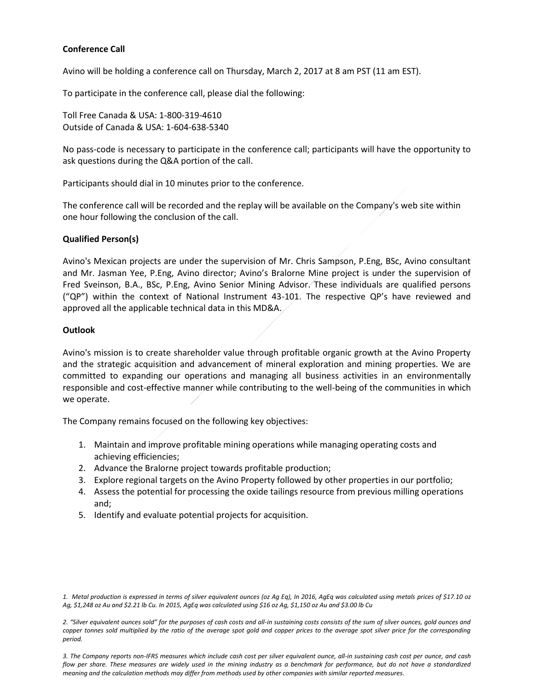## **Conference Call**

Avino will be holding a conference call on Thursday, March 2, 2017 at 8 am PST (11 am EST).

To participate in the conference call, please dial the following:

Toll Free Canada & USA: 1-800-319-4610 Outside of Canada & USA: 1-604-638-5340

No pass-code is necessary to participate in the conference call; participants will have the opportunity to ask questions during the Q&A portion of the call.

Participants should dial in 10 minutes prior to the conference.

The conference call will be recorded and the replay will be available on the Company's web site within one hour following the conclusion of the call.

#### **Qualified Person(s)**

Avino's Mexican projects are under the supervision of Mr. Chris Sampson, P.Eng, BSc, Avino consultant and Mr. Jasman Yee, P.Eng, Avino director; Avino's Bralorne Mine project is under the supervision of Fred Sveinson, B.A., BSc, P.Eng, Avino Senior Mining Advisor. These individuals are qualified persons ("QP") within the context of National Instrument 43-101. The respective QP's have reviewed and approved all the applicable technical data in this MD&A.

#### **Outlook**

Avino's mission is to create shareholder value through profitable organic growth at the Avino Property and the strategic acquisition and advancement of mineral exploration and mining properties. We are committed to expanding our operations and managing all business activities in an environmentally responsible and cost-effective manner while contributing to the well-being of the communities in which we operate.

The Company remains focused on the following key objectives:

- 1. Maintain and improve profitable mining operations while managing operating costs and achieving efficiencies;
- 2. Advance the Bralorne project towards profitable production;
- 3. Explore regional targets on the Avino Property followed by other properties in our portfolio;
- 4. Assess the potential for processing the oxide tailings resource from previous milling operations and;
- 5. Identify and evaluate potential projects for acquisition.

2. "Silver equivalent ounces sold" for the purposes of cash costs and all-in sustaining costs consists of the sum of silver ounces, gold ounces and copper tonnes sold multiplied by the ratio of the average spot gold and copper prices to the average spot silver price for the corresponding *period.*

*3. The Company reports non-IFRS measures which include cash cost per silver equivalent ounce, all-in sustaining cash cost per ounce, and cash flow per share. These measures are widely used in the mining industry as a benchmark for performance, but do not have a standardized meaning and the calculation methods may differ from methods used by other companies with similar reported measures.*

*<sup>1.</sup> Metal production is expressed in terms of silver equivalent ounces (oz Ag Eq), In 2016, AgEq was calculated using metals prices of \$17.10 oz Ag, \$1,248 oz Au and \$2.21 lb Cu. In 2015, AgEq was calculated using \$16 oz Ag, \$1,150 oz Au and \$3.00 lb Cu*